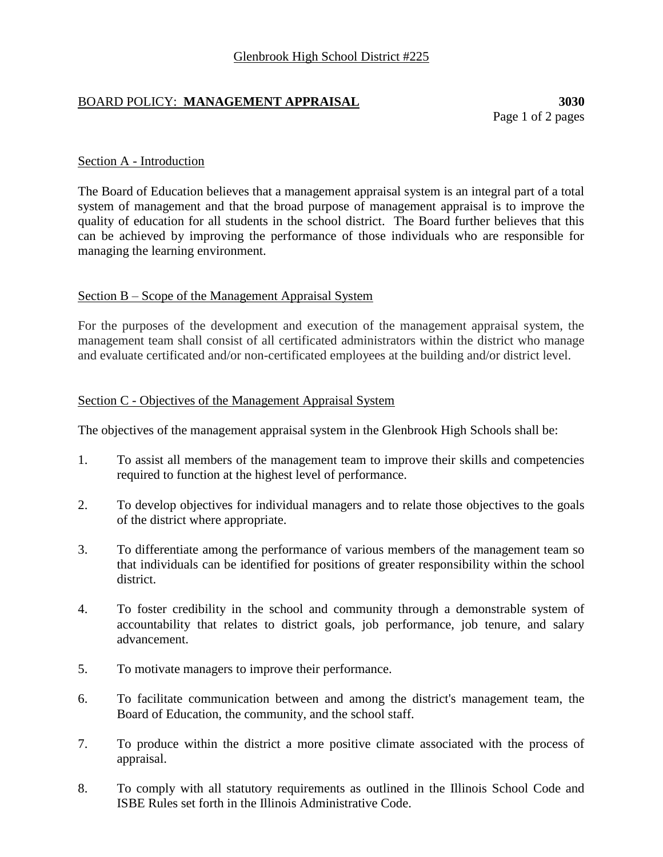# BOARD POLICY: **MANAGEMENT APPRAISAL 3030**

Page 1 of 2 pages

## Section A - Introduction

The Board of Education believes that a management appraisal system is an integral part of a total system of management and that the broad purpose of management appraisal is to improve the quality of education for all students in the school district. The Board further believes that this can be achieved by improving the performance of those individuals who are responsible for managing the learning environment.

#### Section B – Scope of the Management Appraisal System

For the purposes of the development and execution of the management appraisal system, the management team shall consist of all certificated administrators within the district who manage and evaluate certificated and/or non-certificated employees at the building and/or district level.

#### Section C - Objectives of the Management Appraisal System

The objectives of the management appraisal system in the Glenbrook High Schools shall be:

- 1. To assist all members of the management team to improve their skills and competencies required to function at the highest level of performance.
- 2. To develop objectives for individual managers and to relate those objectives to the goals of the district where appropriate.
- 3. To differentiate among the performance of various members of the management team so that individuals can be identified for positions of greater responsibility within the school district.
- 4. To foster credibility in the school and community through a demonstrable system of accountability that relates to district goals, job performance, job tenure, and salary advancement.
- 5. To motivate managers to improve their performance.
- 6. To facilitate communication between and among the district's management team, the Board of Education, the community, and the school staff.
- 7. To produce within the district a more positive climate associated with the process of appraisal.
- 8. To comply with all statutory requirements as outlined in the Illinois School Code and ISBE Rules set forth in the Illinois Administrative Code.